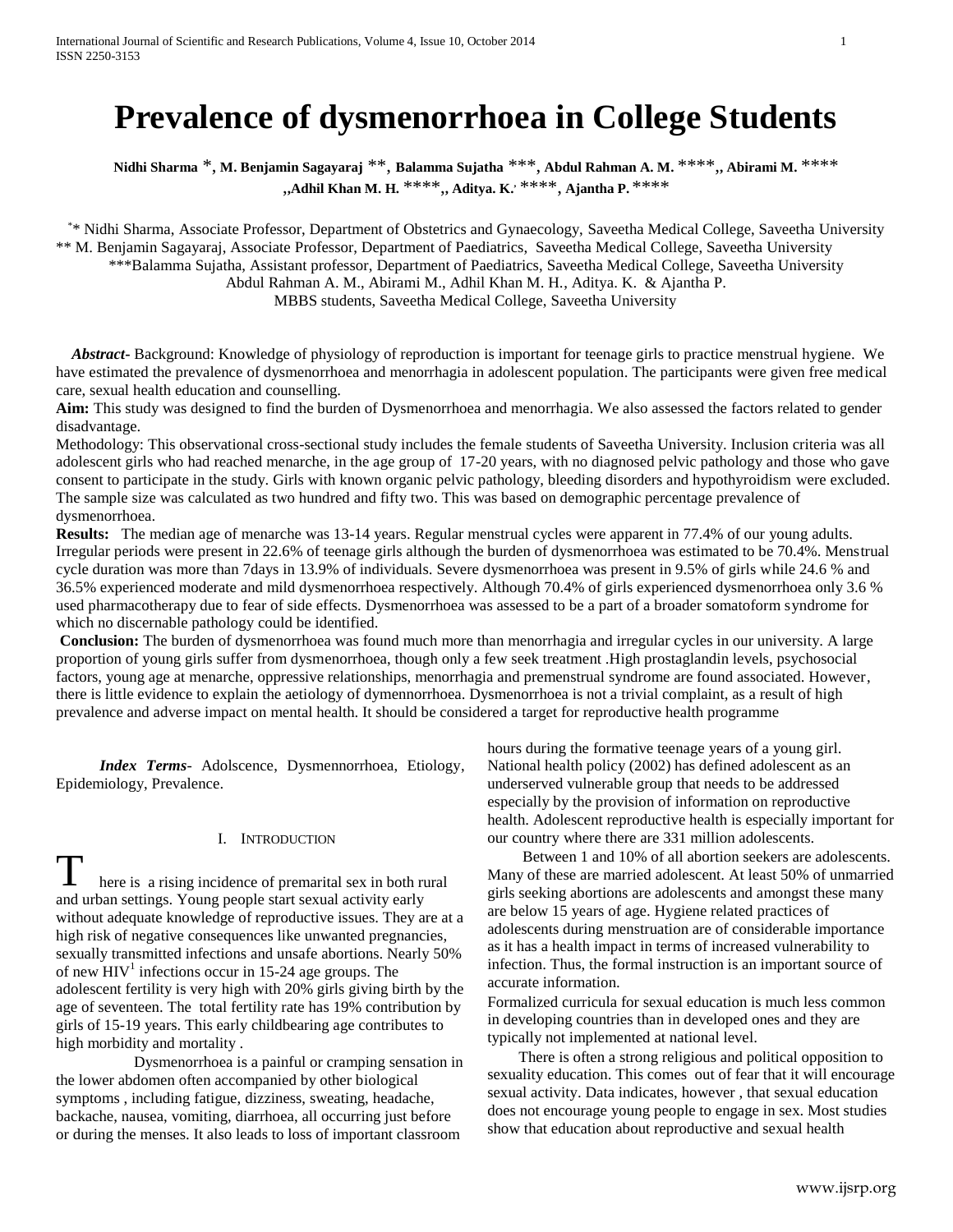# **Prevalence of dysmenorrhoea in College Students**

**Nidhi Sharma** \*, **M. Benjamin Sagayaraj** \*\*, **Balamma Sujatha** \*\*\*, **Abdul Rahman A. M.** \*\*\*\*,**, Abirami M.** \*\*\*\* ,**,Adhil Khan M. H.** \*\*\*\*,**, Aditya. K.,** \*\*\*\*, **Ajantha P.** \*\*\*\*

\* \* Nidhi Sharma, Associate Professor, Department of Obstetrics and Gynaecology, Saveetha Medical College, Saveetha University \*\* M. Benjamin Sagayaraj, Associate Professor, Department of Paediatrics, Saveetha Medical College, Saveetha University \*\*\*Balamma Sujatha, Assistant professor, Department of Paediatrics, Saveetha Medical College, Saveetha University

Abdul Rahman A. M., Abirami M., Adhil Khan M. H., Aditya. K. & Ajantha P.

MBBS students, Saveetha Medical College, Saveetha University

 *Abstract***-** Background: Knowledge of physiology of reproduction is important for teenage girls to practice menstrual hygiene. We have estimated the prevalence of dysmenorrhoea and menorrhagia in adolescent population. The participants were given free medical care, sexual health education and counselling.

**Aim:** This study was designed to find the burden of Dysmenorrhoea and menorrhagia. We also assessed the factors related to gender disadvantage.

Methodology: This observational cross-sectional study includes the female students of Saveetha University. Inclusion criteria was all adolescent girls who had reached menarche, in the age group of 17-20 years, with no diagnosed pelvic pathology and those who gave consent to participate in the study. Girls with known organic pelvic pathology, bleeding disorders and hypothyroidism were excluded. The sample size was calculated as two hundred and fifty two. This was based on demographic percentage prevalence of dysmenorrhoea.

**Results:** The median age of menarche was 13-14 years. Regular menstrual cycles were apparent in 77.4% of our young adults. Irregular periods were present in 22.6% of teenage girls although the burden of dysmenorrhoea was estimated to be 70.4%. Menstrual cycle duration was more than 7days in 13.9% of individuals. Severe dysmenorrhoea was present in 9.5% of girls while 24.6 % and 36.5% experienced moderate and mild dysmenorrhoea respectively. Although 70.4% of girls experienced dysmenorrhoea only 3.6 % used pharmacotherapy due to fear of side effects. Dysmenorrhoea was assessed to be a part of a broader somatoform syndrome for which no discernable pathology could be identified.

**Conclusion:** The burden of dysmenorrhoea was found much more than menorrhagia and irregular cycles in our university. A large proportion of young girls suffer from dysmenorrhoea, though only a few seek treatment .High prostaglandin levels, psychosocial factors, young age at menarche, oppressive relationships, menorrhagia and premenstrual syndrome are found associated. However, there is little evidence to explain the aetiology of dymennorrhoea. Dysmenorrhoea is not a trivial complaint, as a result of high prevalence and adverse impact on mental health. It should be considered a target for reproductive health programme

 *Index Terms*- Adolscence, Dysmennorrhoea, Etiology, Epidemiology, Prevalence.

## I. INTRODUCTION

here is a rising incidence of premarital sex in both rural and urban settings. Young people start sexual activity early without adequate knowledge of reproductive issues. They are at a high risk of negative consequences like unwanted pregnancies, sexually transmitted infections and unsafe abortions. Nearly 50% of new  $HIV<sup>1</sup>$  infections occur in 15-24 age groups. The adolescent fertility is very high with 20% girls giving birth by the age of seventeen. The total fertility rate has 19% contribution by girls of 15-19 years. This early childbearing age contributes to high morbidity and mortality . T

 Dysmenorrhoea is a painful or cramping sensation in the lower abdomen often accompanied by other biological symptoms , including fatigue, dizziness, sweating, headache, backache, nausea, vomiting, diarrhoea, all occurring just before or during the menses. It also leads to loss of important classroom

hours during the formative teenage years of a young girl. National health policy (2002) has defined adolescent as an underserved vulnerable group that needs to be addressed especially by the provision of information on reproductive health. Adolescent reproductive health is especially important for our country where there are 331 million adolescents.

 Between 1 and 10% of all abortion seekers are adolescents. Many of these are married adolescent. At least 50% of unmarried girls seeking abortions are adolescents and amongst these many are below 15 years of age. Hygiene related practices of adolescents during menstruation are of considerable importance as it has a health impact in terms of increased vulnerability to infection. Thus, the formal instruction is an important source of accurate information.

Formalized curricula for sexual education is much less common in developing countries than in developed ones and they are typically not implemented at national level.

 There is often a strong religious and political opposition to sexuality education. This comes out of fear that it will encourage sexual activity. Data indicates, however , that sexual education does not encourage young people to engage in sex. Most studies show that education about reproductive and sexual health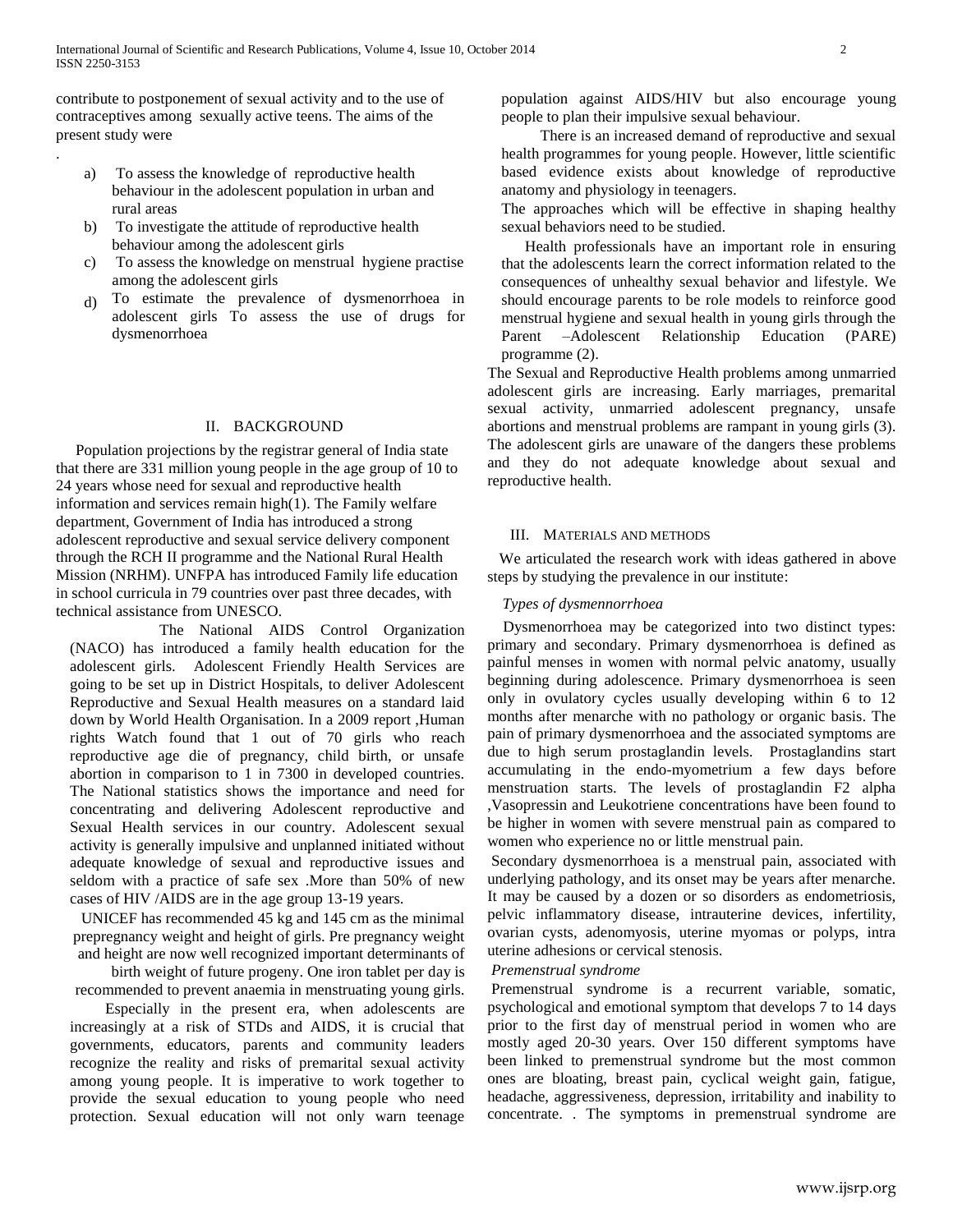contribute to postponement of sexual activity and to the use of contraceptives among sexually active teens. The aims of the present study were

.

- a) To assess the knowledge of reproductive health behaviour in the adolescent population in urban and rural areas
- b) To investigate the attitude of reproductive health behaviour among the adolescent girls
- c) To assess the knowledge on menstrual hygiene practise among the adolescent girls
- d) To estimate the prevalence of dysmenorrhoea in adolescent girls To assess the use of drugs for dysmenorrhoea

#### II. BACKGROUND

 Population projections by the registrar general of India state that there are 331 million young people in the age group of 10 to 24 years whose need for sexual and reproductive health information and services remain high(1). The Family welfare department, Government of India has introduced a strong adolescent reproductive and sexual service delivery component through the RCH II programme and the National Rural Health Mission (NRHM). UNFPA has introduced Family life education in school curricula in 79 countries over past three decades, with technical assistance from UNESCO.

 The National AIDS Control Organization (NACO) has introduced a family health education for the adolescent girls. Adolescent Friendly Health Services are going to be set up in District Hospitals, to deliver Adolescent Reproductive and Sexual Health measures on a standard laid down by World Health Organisation. In a 2009 report ,Human rights Watch found that 1 out of 70 girls who reach reproductive age die of pregnancy, child birth, or unsafe abortion in comparison to 1 in 7300 in developed countries. The National statistics shows the importance and need for concentrating and delivering Adolescent reproductive and Sexual Health services in our country. Adolescent sexual activity is generally impulsive and unplanned initiated without adequate knowledge of sexual and reproductive issues and seldom with a practice of safe sex .More than 50% of new cases of HIV /AIDS are in the age group 13-19 years.

UNICEF has recommended 45 kg and 145 cm as the minimal prepregnancy weight and height of girls. Pre pregnancy weight and height are now well recognized important determinants of

birth weight of future progeny. One iron tablet per day is recommended to prevent anaemia in menstruating young girls.

 Especially in the present era, when adolescents are increasingly at a risk of STDs and AIDS, it is crucial that governments, educators, parents and community leaders recognize the reality and risks of premarital sexual activity among young people. It is imperative to work together to provide the sexual education to young people who need protection. Sexual education will not only warn teenage population against AIDS/HIV but also encourage young people to plan their impulsive sexual behaviour.

 There is an increased demand of reproductive and sexual health programmes for young people. However, little scientific based evidence exists about knowledge of reproductive anatomy and physiology in teenagers.

The approaches which will be effective in shaping healthy sexual behaviors need to be studied.

 Health professionals have an important role in ensuring that the adolescents learn the correct information related to the consequences of unhealthy sexual behavior and lifestyle. We should encourage parents to be role models to reinforce good menstrual hygiene and sexual health in young girls through the Parent –Adolescent Relationship Education (PARE) programme (2).

The Sexual and Reproductive Health problems among unmarried adolescent girls are increasing. Early marriages, premarital sexual activity, unmarried adolescent pregnancy, unsafe abortions and menstrual problems are rampant in young girls (3). The adolescent girls are unaware of the dangers these problems and they do not adequate knowledge about sexual and reproductive health.

#### III. MATERIALS AND METHODS

 We articulated the research work with ideas gathered in above steps by studying the prevalence in our institute:

#### *Types of dysmennorrhoea*

 Dysmenorrhoea may be categorized into two distinct types: primary and secondary. Primary dysmenorrhoea is defined as painful menses in women with normal pelvic anatomy, usually beginning during adolescence. Primary dysmenorrhoea is seen only in ovulatory cycles usually developing within 6 to 12 months after menarche with no pathology or organic basis. The pain of primary dysmenorrhoea and the associated symptoms are due to high serum prostaglandin levels. Prostaglandins start accumulating in the endo-myometrium a few days before menstruation starts. The levels of prostaglandin F2 alpha ,Vasopressin and Leukotriene concentrations have been found to be higher in women with severe menstrual pain as compared to women who experience no or little menstrual pain.

Secondary dysmenorrhoea is a menstrual pain, associated with underlying pathology, and its onset may be years after menarche. It may be caused by a dozen or so disorders as endometriosis, pelvic inflammatory disease, intrauterine devices, infertility, ovarian cysts, adenomyosis, uterine myomas or polyps, intra uterine adhesions or cervical stenosis.

#### *Premenstrual syndrome*

Premenstrual syndrome is a recurrent variable, somatic, psychological and emotional symptom that develops 7 to 14 days prior to the first day of menstrual period in women who are mostly aged 20-30 years. Over 150 different symptoms have been linked to premenstrual syndrome but the most common ones are bloating, breast pain, cyclical weight gain, fatigue, headache, aggressiveness, depression, irritability and inability to concentrate. . The symptoms in premenstrual syndrome are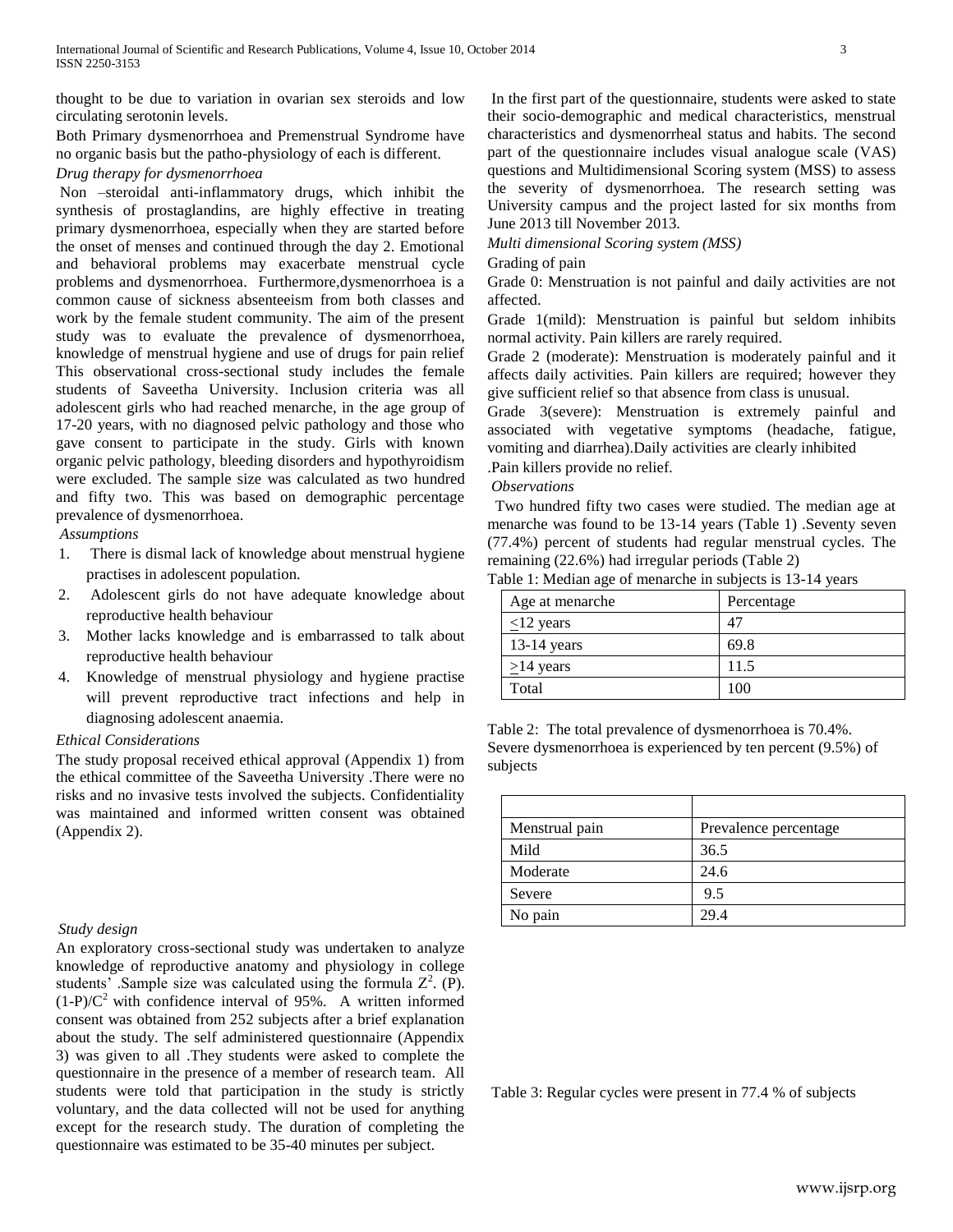thought to be due to variation in ovarian sex steroids and low circulating serotonin levels.

Both Primary dysmenorrhoea and Premenstrual Syndrome have no organic basis but the patho-physiology of each is different.

## *Drug therapy for dysmenorrhoea*

Non –steroidal anti-inflammatory drugs, which inhibit the synthesis of prostaglandins, are highly effective in treating primary dysmenorrhoea, especially when they are started before the onset of menses and continued through the day 2. Emotional and behavioral problems may exacerbate menstrual cycle problems and dysmenorrhoea. Furthermore,dysmenorrhoea is a common cause of sickness absenteeism from both classes and work by the female student community. The aim of the present study was to evaluate the prevalence of dysmenorrhoea, knowledge of menstrual hygiene and use of drugs for pain relief This observational cross-sectional study includes the female students of Saveetha University. Inclusion criteria was all adolescent girls who had reached menarche, in the age group of 17-20 years, with no diagnosed pelvic pathology and those who gave consent to participate in the study. Girls with known organic pelvic pathology, bleeding disorders and hypothyroidism were excluded. The sample size was calculated as two hundred and fifty two. This was based on demographic percentage prevalence of dysmenorrhoea.

## *Assumptions*

- 1. There is dismal lack of knowledge about menstrual hygiene practises in adolescent population.
- 2. Adolescent girls do not have adequate knowledge about reproductive health behaviour
- 3. Mother lacks knowledge and is embarrassed to talk about reproductive health behaviour
- 4. Knowledge of menstrual physiology and hygiene practise will prevent reproductive tract infections and help in diagnosing adolescent anaemia.

## *Ethical Considerations*

The study proposal received ethical approval (Appendix 1) from the ethical committee of the Saveetha University .There were no risks and no invasive tests involved the subjects. Confidentiality was maintained and informed written consent was obtained (Appendix 2).

## *Study design*

An exploratory cross-sectional study was undertaken to analyze knowledge of reproductive anatomy and physiology in college students' Sample size was calculated using the formula  $Z^2$ . (P).  $(1-P)/C<sup>2</sup>$  with confidence interval of 95%. A written informed consent was obtained from 252 subjects after a brief explanation about the study. The self administered questionnaire (Appendix 3) was given to all .They students were asked to complete the questionnaire in the presence of a member of research team. All students were told that participation in the study is strictly voluntary, and the data collected will not be used for anything except for the research study. The duration of completing the questionnaire was estimated to be 35-40 minutes per subject.

In the first part of the questionnaire, students were asked to state their socio-demographic and medical characteristics, menstrual characteristics and dysmenorrheal status and habits. The second part of the questionnaire includes visual analogue scale (VAS) questions and Multidimensional Scoring system (MSS) to assess the severity of dysmenorrhoea. The research setting was University campus and the project lasted for six months from June 2013 till November 2013.

*Multi dimensional Scoring system (MSS)*

Grading of pain

Grade 0: Menstruation is not painful and daily activities are not affected.

Grade 1(mild): Menstruation is painful but seldom inhibits normal activity. Pain killers are rarely required.

Grade 2 (moderate): Menstruation is moderately painful and it affects daily activities. Pain killers are required; however they give sufficient relief so that absence from class is unusual.

Grade 3(severe): Menstruation is extremely painful and associated with vegetative symptoms (headache, fatigue, vomiting and diarrhea).Daily activities are clearly inhibited

.Pain killers provide no relief.

*Observations*

 Two hundred fifty two cases were studied. The median age at menarche was found to be 13-14 years (Table 1) .Seventy seven (77.4%) percent of students had regular menstrual cycles. The remaining (22.6%) had irregular periods (Table 2)

Table 1: Median age of menarche in subjects is 13-14 years

| Age at menarche | Percentage |
|-----------------|------------|
| $\leq$ 12 years | 47         |
| $13-14$ years   | 69.8       |
| $\geq$ 14 years | 11.5       |
| Total           | 100        |

Table 2: The total prevalence of dysmenorrhoea is 70.4%. Severe dysmenorrhoea is experienced by ten percent (9.5%) of subjects

| Menstrual pain | Prevalence percentage |
|----------------|-----------------------|
| Mild           | 36.5                  |
| Moderate       | 24.6                  |
| Severe         | 9.5                   |
| No pain        | 29.4                  |

Table 3: Regular cycles were present in 77.4 % of subjects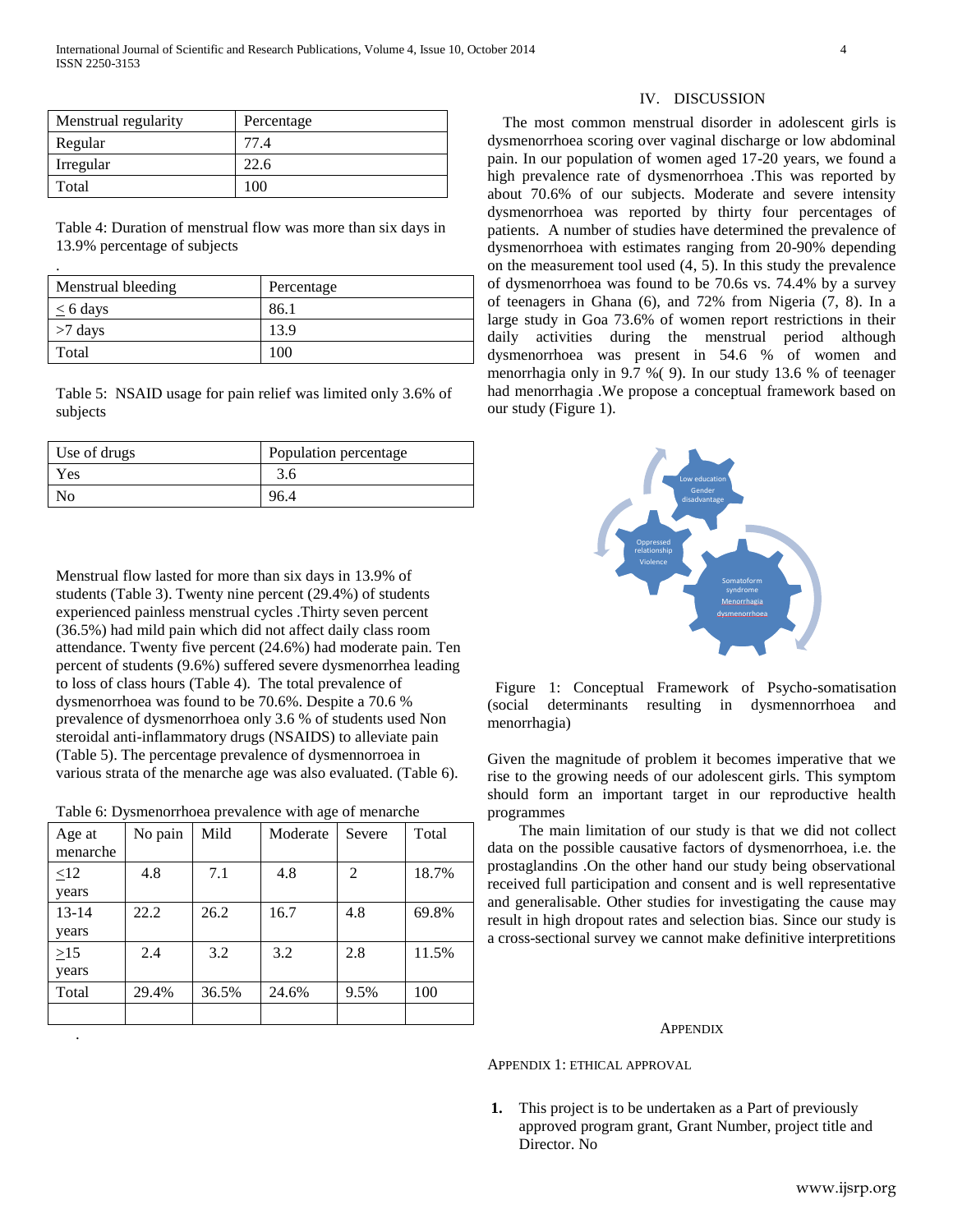| Menstrual regularity | Percentage |
|----------------------|------------|
| Regular              | 77.4       |
| Irregular            | 22.6       |
| Total                | 100        |

Table 4: Duration of menstrual flow was more than six days in 13.9% percentage of subjects

.

| Menstrual bleeding | Percentage |
|--------------------|------------|
| $\leq 6$ days      | 86.1       |
| $>7$ days          | 13.9       |
| Total              | 100        |

Table 5: NSAID usage for pain relief was limited only 3.6% of subjects

| Use of drugs   | Population percentage |  |  |
|----------------|-----------------------|--|--|
| Yes            | 3.6                   |  |  |
| N <sub>0</sub> | 96.4                  |  |  |

Menstrual flow lasted for more than six days in 13.9% of students (Table 3). Twenty nine percent (29.4%) of students experienced painless menstrual cycles .Thirty seven percent (36.5%) had mild pain which did not affect daily class room attendance. Twenty five percent (24.6%) had moderate pain. Ten percent of students (9.6%) suffered severe dysmenorrhea leading to loss of class hours (Table 4). The total prevalence of dysmenorrhoea was found to be 70.6%. Despite a 70.6 % prevalence of dysmenorrhoea only 3.6 % of students used Non steroidal anti-inflammatory drugs (NSAIDS) to alleviate pain (Table 5). The percentage prevalence of dysmennorroea in various strata of the menarche age was also evaluated. (Table 6).

| Table 6: Dysmenorrhoea prevalence with age of menarche |  |  |
|--------------------------------------------------------|--|--|
|                                                        |  |  |

| Age at    | No pain | Mild  | Moderate | Severe         | Total |
|-----------|---------|-------|----------|----------------|-------|
| menarche  |         |       |          |                |       |
| $\leq12$  | 4.8     | 7.1   | 4.8      | $\overline{2}$ | 18.7% |
| years     |         |       |          |                |       |
| $13 - 14$ | 22.2    | 26.2  | 16.7     | 4.8            | 69.8% |
| years     |         |       |          |                |       |
| $\geq$ 15 | 2.4     | 3.2   | 3.2      | 2.8            | 11.5% |
| years     |         |       |          |                |       |
| Total     | 29.4%   | 36.5% | 24.6%    | 9.5%           | 100   |
|           |         |       |          |                |       |
|           |         |       |          |                |       |

#### IV. DISCUSSION

 The most common menstrual disorder in adolescent girls is dysmenorrhoea scoring over vaginal discharge or low abdominal pain. In our population of women aged 17-20 years, we found a high prevalence rate of dysmenorrhoea .This was reported by about 70.6% of our subjects. Moderate and severe intensity dysmenorrhoea was reported by thirty four percentages of patients. A number of studies have determined the prevalence of dysmenorrhoea with estimates ranging from 20-90% depending on the measurement tool used (4, 5). In this study the prevalence of dysmenorrhoea was found to be 70.6s vs. 74.4% by a survey of teenagers in Ghana (6), and 72% from Nigeria (7, 8). In a large study in Goa 73.6% of women report restrictions in their daily activities during the menstrual period although dysmenorrhoea was present in 54.6 % of women and menorrhagia only in 9.7 %( 9). In our study 13.6 % of teenager had menorrhagia .We propose a conceptual framework based on our study (Figure 1).



 Figure 1: Conceptual Framework of Psycho-somatisation (social determinants resulting in dysmennorrhoea and menorrhagia)

Given the magnitude of problem it becomes imperative that we rise to the growing needs of our adolescent girls. This symptom should form an important target in our reproductive health programmes

The main limitation of our study is that we did not collect data on the possible causative factors of dysmenorrhoea, i.e. the prostaglandins .On the other hand our study being observational received full participation and consent and is well representative and generalisable. Other studies for investigating the cause may result in high dropout rates and selection bias. Since our study is a cross-sectional survey we cannot make definitive interpretitions

#### **APPENDIX**

APPENDIX 1: ETHICAL APPROVAL

**1.** This project is to be undertaken as a Part of previously approved program grant, Grant Number, project title and Director. No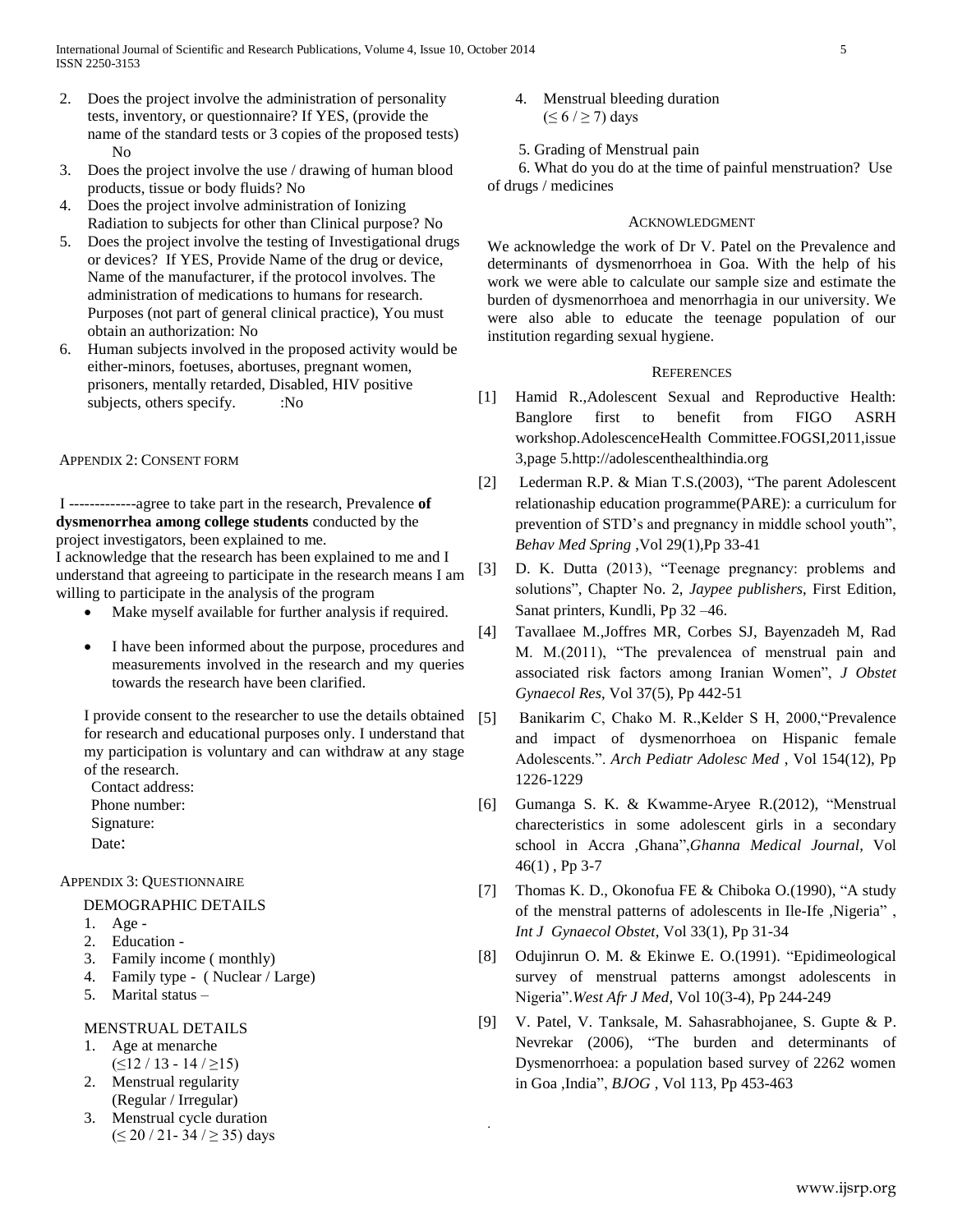- 2. Does the project involve the administration of personality tests, inventory, or questionnaire? If YES, (provide the name of the standard tests or 3 copies of the proposed tests) No
- 3. Does the project involve the use / drawing of human blood products, tissue or body fluids? No
- 4. Does the project involve administration of Ionizing Radiation to subjects for other than Clinical purpose? No
- 5. Does the project involve the testing of Investigational drugs or devices? If YES, Provide Name of the drug or device, Name of the manufacturer, if the protocol involves. The administration of medications to humans for research. Purposes (not part of general clinical practice), You must obtain an authorization: No
- 6. Human subjects involved in the proposed activity would be either-minors, foetuses, abortuses, pregnant women, prisoners, mentally retarded, Disabled, HIV positive subjects, others specify.  $\cdot$  :No

## APPENDIX 2: CONSENT FORM

I -------------agree to take part in the research, Prevalence **of dysmenorrhea among college students** conducted by the project investigators, been explained to me.

I acknowledge that the research has been explained to me and I understand that agreeing to participate in the research means I am willing to participate in the analysis of the program

- Make myself available for further analysis if required.
- I have been informed about the purpose, procedures and measurements involved in the research and my queries towards the research have been clarified.

I provide consent to the researcher to use the details obtained for research and educational purposes only. I understand that my participation is voluntary and can withdraw at any stage of the research.

 Contact address: Phone number: Signature:

Date:

## APPENDIX 3: QUESTIONNAIRE

#### DEMOGRAPHIC DETAILS

- 1. Age -
- 2. Education -
- 3. Family income ( monthly)
- 4. Family type ( Nuclear / Large)
- 5. Marital status –

## MENSTRUAL DETAILS

- 1. Age at menarche
- $( \leq 12 / 13 14 / \geq 15)$
- 2. Menstrual regularity (Regular / Irregular)
- 3. Menstrual cycle duration  $( \leq 20 / 21 - 34 / \geq 35)$  days
- 4. Menstrual bleeding duration  $( \leq 6 / \geq 7)$  days
- 5. Grading of Menstrual pain

 6. What do you do at the time of painful menstruation? Use of drugs / medicines

### ACKNOWLEDGMENT

We acknowledge the work of Dr V. Patel on the Prevalence and determinants of dysmenorrhoea in Goa. With the help of his work we were able to calculate our sample size and estimate the burden of dysmenorrhoea and menorrhagia in our university. We were also able to educate the teenage population of our institution regarding sexual hygiene.

#### **REFERENCES**

- [1] Hamid R.,Adolescent Sexual and Reproductive Health: Banglore first to benefit from FIGO ASRH workshop.AdolescenceHealth Committee.FOGSI,2011,issue 3,page 5.http://adolescenthealthindia.org
- [2] Lederman R.P. & Mian T.S.(2003), "The parent Adolescent relationaship education programme(PARE): a curriculum for prevention of STD's and pregnancy in middle school youth", *Behav Med Spring* ,Vol 29(1),Pp 33-41
- [3] D. K. Dutta (2013), "Teenage pregnancy: problems and solutions", Chapter No. 2, *Jaypee publishers*, First Edition, Sanat printers, Kundli, Pp 32 –46.
- [4] Tavallaee M.,Joffres MR, Corbes SJ, Bayenzadeh M, Rad M. M.(2011), "The prevalencea of menstrual pain and associated risk factors among Iranian Women", *J Obstet Gynaecol Res*, Vol 37(5), Pp 442-51
- [5] Banikarim C, Chako M. R.,Kelder S H, 2000,"Prevalence and impact of dysmenorrhoea on Hispanic female Adolescents.". *Arch Pediatr Adolesc Med* , Vol 154(12), Pp 1226-1229
- [6] Gumanga S. K. & Kwamme-Aryee R.(2012), "Menstrual charecteristics in some adolescent girls in a secondary school in Accra ,Ghana",*Ghanna Medical Journal*, Vol 46(1) , Pp 3-7
- [7] Thomas K. D., Okonofua FE & Chiboka O.(1990), "A study of the menstral patterns of adolescents in Ile-Ife ,Nigeria" , *Int J Gynaecol Obstet*, Vol 33(1), Pp 31-34
- [8] Odujinrun O. M. & Ekinwe E. O.(1991). "Epidimeological survey of menstrual patterns amongst adolescents in Nigeria".*West Afr J Med,* Vol 10(3-4), Pp 244-249
- [9] V. Patel, V. Tanksale, M. Sahasrabhojanee, S. Gupte & P. Nevrekar (2006), "The burden and determinants of Dysmenorrhoea: a population based survey of 2262 women in Goa ,India", *BJOG* , Vol 113, Pp 453-463

.